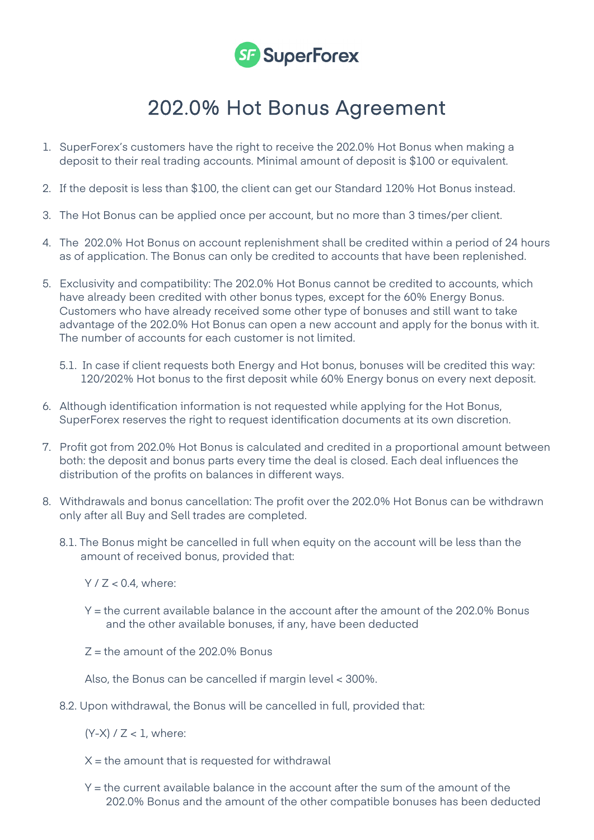

## 202.0% Hot Bonus Agreement

- 1. SuperForex's customers have the right to receive the 202.0% Hot Bonus when making a deposit to their real trading accounts. Minimal amount of deposit is \$100 or equivalent.
- 2. If the deposit is less than \$100, the client can get our Standard 120% Hot Bonus instead.
- 3. The Hot Bonus can be applied once per account, but no more than 3 times/per client.
- 4. The 202.0% Hot Bonus on account replenishment shall be credited within a period of 24 hours as of application. The Bonus can only be credited to accounts that have been replenished.
- 5. Exclusivity and compatibility: The 202.0% Hot Bonus cannot be credited to accounts, which have already been credited with other bonus types, except for the 60% Energy Bonus. Customers who have already received some other type of bonuses and still want to take advantage of the 202.0% Hot Bonus can open a new account and apply for the bonus with it. The number of accounts for each customer is not limited.
	- 5.1. In case if client requests both Energy and Hot bonus, bonuses will be credited this way: 120/202% Hot bonus to the first deposit while 60% Energy bonus on every next deposit.
- 6. Although identification information is not requested while applying for the Hot Bonus, SuperForex reserves the right to request identification documents at its own discretion.
- 7. Profit got from 202.0% Hot Bonus is calculated and credited in a proportional amount between both: the deposit and bonus parts every time the deal is closed. Each deal influences the distribution of the profits on balances in different ways.
- 8. Withdrawals and bonus cancellation: The profit over the 202.0% Hot Bonus can be withdrawn only after all Buy and Sell trades are completed.
	- 8.1. The Bonus might be cancelled in full when equity on the account will be less than the amount of received bonus, provided that:
		- $Y / Z < 0.4$ , where:
		- Y = the current available balance in the account after the amount of the 202.0% Bonus and the other available bonuses, if any, have been deducted
		- $Z =$  the amount of the 202.0% Bonus

Also, the Bonus can be cancelled if margin level < 300%.

8.2. Upon withdrawal, the Bonus will be cancelled in full, provided that:

 $(Y-X)$  /  $Z < 1$ , where:

- $X =$  the amount that is requested for withdrawal
- $Y =$  the current available balance in the account after the sum of the amount of the 202.0% Bonus and the amount of the other compatible bonuses has been deducted